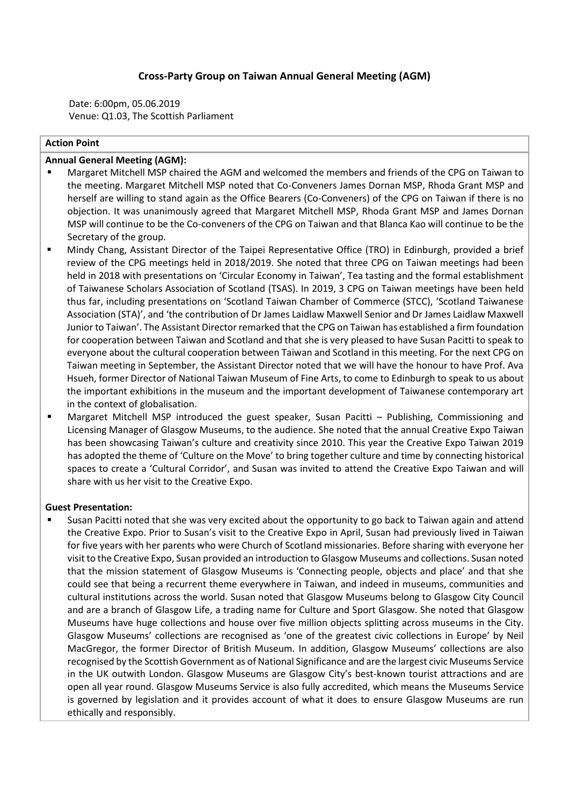## **Cross-Party Group on Taiwan Annual General Meeting (AGM)**

Date: 6:00pm, 05.06.2019 Venue: Q1.03, The Scottish Parliament

### **Action Point**

### **Annual General Meeting (AGM):**

- Margaret Mitchell MSP chaired the AGM and welcomed the members and friends of the CPG on Taiwan to the meeting. Margaret Mitchell MSP noted that Co-Conveners James Dornan MSP, Rhoda Grant MSP and herself are willing to stand again as the Office Bearers (Co-Conveners) of the CPG on Taiwan if there is no objection. It was unanimously agreed that Margaret Mitchell MSP, Rhoda Grant MSP and James Dornan MSP will continue to be the Co-conveners of the CPG on Taiwan and that Blanca Kao will continue to be the Secretary of the group.
- Mindy Chang, Assistant Director of the Taipei Representative Office (TRO) in Edinburgh, provided a brief review of the CPG meetings held in 2018/2019. She noted that three CPG on Taiwan meetings had been held in 2018 with presentations on 'Circular Economy in Taiwan', Tea tasting and the formal establishment of Taiwanese Scholars Association of Scotland (TSAS). In 2019, 3 CPG on Taiwan meetings have been held thus far, including presentations on 'Scotland Taiwan Chamber of Commerce (STCC), 'Scotland Taiwanese Association (STA)', and 'the contribution of Dr James Laidlaw Maxwell Senior and Dr James Laidlaw Maxwell Junior to Taiwan'. The Assistant Director remarked that the CPG on Taiwan has established a firm foundation for cooperation between Taiwan and Scotland and that she is very pleased to have Susan Pacitti to speak to everyone about the cultural cooperation between Taiwan and Scotland in this meeting. For the next CPG on Taiwan meeting in September, the Assistant Director noted that we will have the honour to have Prof. Ava Hsueh, former Director of National Taiwan Museum of Fine Arts, to come to Edinburgh to speak to us about the important exhibitions in the museum and the important development of Taiwanese contemporary art in the context of globalisation.
- Margaret Mitchell MSP introduced the guest speaker, Susan Pacitti Publishing, Commissioning and Licensing Manager of Glasgow Museums, to the audience. She noted that the annual Creative Expo Taiwan has been showcasing Taiwan's culture and creativity since 2010. This year the Creative Expo Taiwan 2019 has adopted the theme of 'Culture on the Move' to bring together culture and time by connecting historical spaces to create a 'Cultural Corridor', and Susan was invited to attend the Creative Expo Taiwan and will share with us her visit to the Creative Expo.

#### **Guest Presentation:**

Susan Pacitti noted that she was very excited about the opportunity to go back to Taiwan again and attend the Creative Expo. Prior to Susan's visit to the Creative Expo in April, Susan had previously lived in Taiwan for five years with her parents who were Church of Scotland missionaries. Before sharing with everyone her visit to the Creative Expo, Susan provided an introduction to Glasgow Museums and collections. Susan noted that the mission statement of Glasgow Museums is 'Connecting people, objects and place' and that she could see that being a recurrent theme everywhere in Taiwan, and indeed in museums, communities and cultural institutions across the world. Susan noted that Glasgow Museums belong to Glasgow City Council and are a branch of Glasgow Life, a trading name for Culture and Sport Glasgow. She noted that Glasgow Museums have huge collections and house over five million objects splitting across museums in the City. Glasgow Museums' collections are recognised as 'one of the greatest civic collections in Europe' by Neil MacGregor, the former Director of British Museum. In addition, Glasgow Museums' collections are also recognised by the Scottish Government as of National Significance and are the largest civic Museums Service in the UK outwith London. Glasgow Museums are Glasgow City's best-known tourist attractions and are open all year round. Glasgow Museums Service is also fully accredited, which means the Museums Service is governed by legislation and it provides account of what it does to ensure Glasgow Museums are run ethically and responsibly.